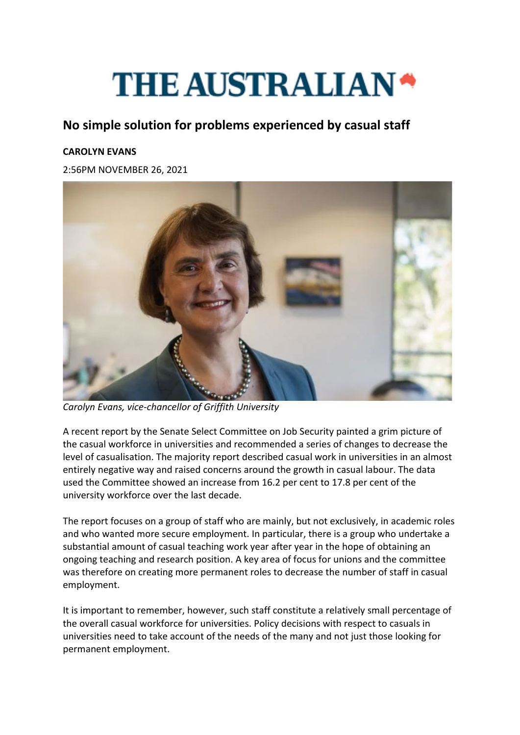## **THE AUSTRALIAN\***

## **No simple solution for problems experienced by casual staff**

## **CAROLYN EVANS**

2:56PM NOVEMBER 26, 2021



*Carolyn Evans, vice-chancellor of Griffith University*

A recent report by the Senate Select Committee on Job Security painted a grim picture of the casual workforce in universities and recommended a series of changes to decrease the level of casualisation. The majority report described casual work in universities in an almost entirely negative way and raised concerns around the growth in casual labour. The data used the Committee showed an increase from 16.2 per cent to 17.8 per cent of the university workforce over the last decade.

The report focuses on a group of staff who are mainly, but not exclusively, in academic roles and who wanted more secure employment. In particular, there is a group who undertake a substantial amount of casual teaching work year after year in the hope of obtaining an ongoing teaching and research position. A key area of focus for unions and the committee was therefore on creating more permanent roles to decrease the number of staff in casual employment.

It is important to remember, however, such staff constitute a relatively small percentage of the overall casual workforce for universities. Policy decisions with respect to casuals in universities need to take account of the needs of the many and not just those looking for permanent employment.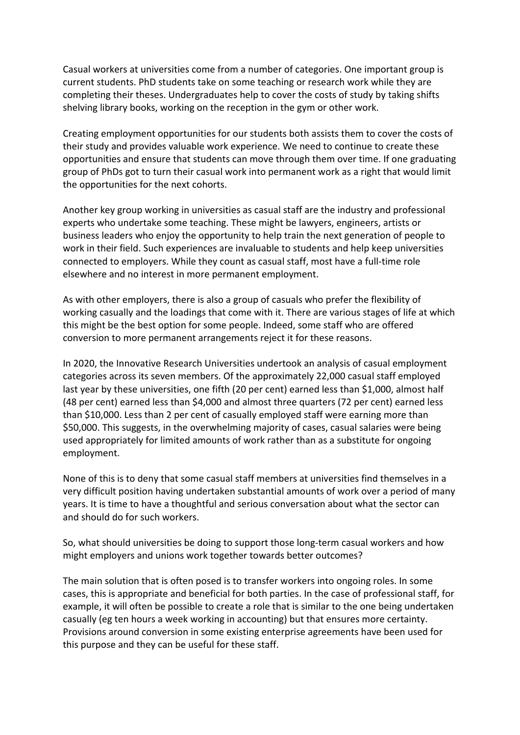Casual workers at universities come from a number of categories. One important group is current students. PhD students take on some teaching or research work while they are completing their theses. Undergraduates help to cover the costs of study by taking shifts shelving library books, working on the reception in the gym or other work.

Creating employment opportunities for our students both assists them to cover the costs of their study and provides valuable work experience. We need to continue to create these opportunities and ensure that students can move through them over time. If one graduating group of PhDs got to turn their casual work into permanent work as a right that would limit the opportunities for the next cohorts.

Another key group working in universities as casual staff are the industry and professional experts who undertake some teaching. These might be lawyers, engineers, artists or business leaders who enjoy the opportunity to help train the next generation of people to work in their field. Such experiences are invaluable to students and help keep universities connected to employers. While they count as casual staff, most have a full-time role elsewhere and no interest in more permanent employment.

As with other employers, there is also a group of casuals who prefer the flexibility of working casually and the loadings that come with it. There are various stages of life at which this might be the best option for some people. Indeed, some staff who are offered conversion to more permanent arrangements reject it for these reasons.

In 2020, the Innovative Research Universities undertook an analysis of casual employment categories across its seven members. Of the approximately 22,000 casual staff employed last year by these universities, one fifth (20 per cent) earned less than \$1,000, almost half (48 per cent) earned less than \$4,000 and almost three quarters (72 per cent) earned less than \$10,000. Less than 2 per cent of casually employed staff were earning more than \$50,000. This suggests, in the overwhelming majority of cases, casual salaries were being used appropriately for limited amounts of work rather than as a substitute for ongoing employment.

None of this is to deny that some casual staff members at universities find themselves in a very difficult position having undertaken substantial amounts of work over a period of many years. It is time to have a thoughtful and serious conversation about what the sector can and should do for such workers.

So, what should universities be doing to support those long-term casual workers and how might employers and unions work together towards better outcomes?

The main solution that is often posed is to transfer workers into ongoing roles. In some cases, this is appropriate and beneficial for both parties. In the case of professional staff, for example, it will often be possible to create a role that is similar to the one being undertaken casually (eg ten hours a week working in accounting) but that ensures more certainty. Provisions around conversion in some existing enterprise agreements have been used for this purpose and they can be useful for these staff.